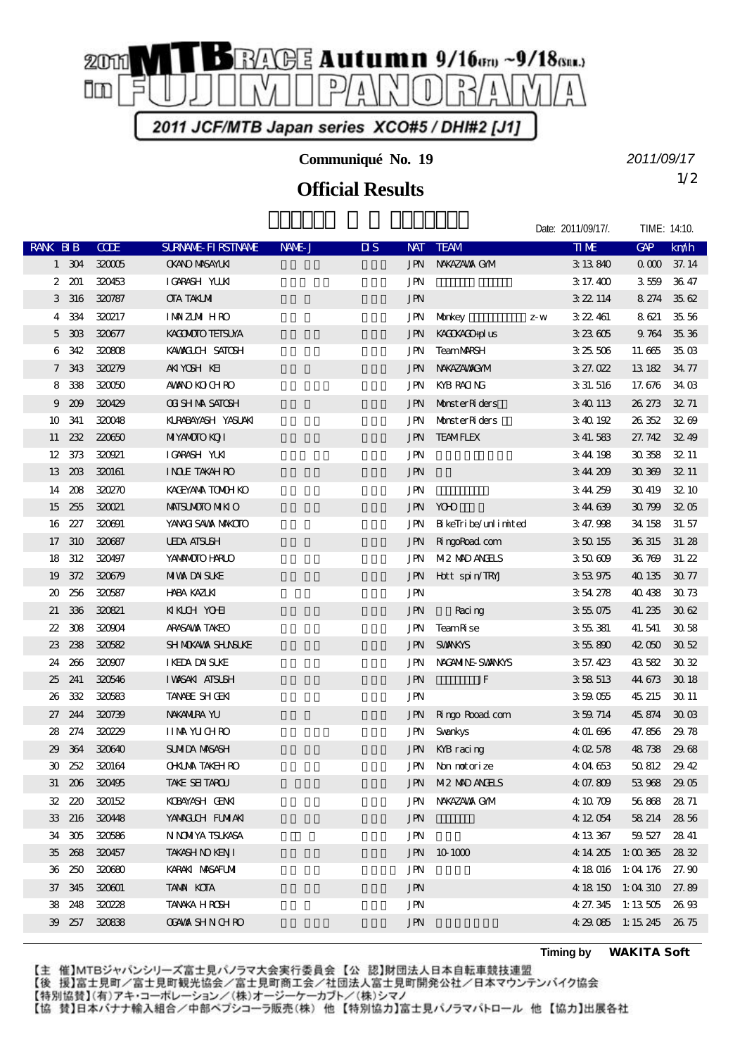

**Communiqué No. 19**

## 1/2 **Official Results**

*2011/09/17*

|                             |        |               |                            |        |                         |            |                         | Date: 2011/09/17/. |             | TIME: 14:10.            |             |
|-----------------------------|--------|---------------|----------------------------|--------|-------------------------|------------|-------------------------|--------------------|-------------|-------------------------|-------------|
| RANK BIB                    |        | <b>CODE</b>   | <b>SURVANE FI RSTIVANE</b> | NAME J | $\overline{\mathbf{u}}$ | <b>NAT</b> | <b>TEAM</b>             |                    | <b>TIME</b> | GAP                     | km/h        |
|                             | 1 304  | 320005        | <b>OKANO MASAYLKI</b>      |        |                         |            | <b>JPN NAKAZAWA GMM</b> |                    | 3 13 840    |                         | 0 000 37.14 |
| 2                           | 201    | 320453        | IGARASH YUUKI              |        |                         | <b>JPN</b> |                         |                    | 3 17.400    | 3559                    | 3647        |
| 3                           | 316    | 320787        | <b>CTA TAKIMI</b>          |        |                         | <b>JPN</b> |                         |                    | 3 22 114    | 8 274 35 62             |             |
| 4                           | 334    | 320217        | <b>IMAZMIHRO</b>           |        |                         | JPN        | Morkey                  | $\mathbf{Z}$ W     | 3 22 461    | 8621                    | 35,56       |
| 5                           | 303    | 320677        | KACMOTO TEISUYA            |        |                         | JPN        | KACKACO-plus            |                    | 323605      | 9764 3536               |             |
| 6                           | 342    | 320808        | KAMACLOH SATOSH            |        |                         | JPN        | <b>TeamMRSH</b>         |                    | 325506      | 11.665                  | 35 OB       |
| 7                           | 343    | 320279        | AKIYOSH KEI                |        |                         | <b>JPN</b> | NWAZAWAXOM              |                    | 327.022     | 13 182                  | 34.77       |
| 8                           | 338    | 320050        | <b>AMANO KO CH RO</b>      |        |                         | JPN        | KYB RACING              |                    | 3 31, 516   | 17.676                  | 34 OB       |
| 9                           | 209    | 320429        | <b>OT SH NA SATOSH</b>     |        |                         | JPN        | Monster Riders          |                    | 340113      | 26 273                  | 3271        |
| 10                          | 341    | 320048        | KURABAYASH YASUAKI         |        |                         | JPN        | Monster Riders          |                    | 340192      | 26352                   | 3200        |
| 11                          | 232    | 220650        | <b>MIYANCIO KOJI</b>       |        |                         | JPN        | <b>TEAMFLEX</b>         |                    | 3 41.583    | 27.742 32.49            |             |
| 12                          | 373    | 320921        | IGARASH YUKI               |        |                         | <b>JPN</b> |                         |                    | 3 44 198    | 30358                   | 32.11       |
| 13                          | 20B    | 320161        | <b>INDE TAKAHRO</b>        |        |                         | <b>JPN</b> |                         |                    | 344 209     | 30309                   | 32.11       |
| 14                          | 208    | <b>320270</b> | KACEYANA TOMOH KO          |        |                         | <b>JPN</b> |                         |                    | 344259      | 30 419                  | 32 10       |
| 15                          | 255    | 320021        | <b>MAISUMOTO MIKIO</b>     |        |                         | <b>JPN</b> | <b>YOHO</b>             |                    | 344639      | 30799                   | 3205        |
|                             | 16 227 | 320691        | YANACI SAWA MAKOTO         |        |                         | JPN        | BikeTribe/unlimited     |                    | 3 47.998    | 34 158                  | 31.57       |
| 17                          | 310    | 320687        | <b>UEDA AISUSH</b>         |        |                         | <b>JPN</b> | <b>RingoRoad</b> com    |                    | 350155      | 36 315                  | 31.28       |
| 18                          | 312    | 320497        | YANANOTO HARLO             |        |                         | JPN        | M2 MD ANHS              |                    | 350609      | 36769                   | 31.22       |
| 19                          | 372    | 320679        | <b>MIVA DA SUÆ</b>         |        |                         | JPN        | Hott spin/TRYJ          |                    | 353975      | 40 135                  | 3077        |
| 20                          | 256    | 320587        | <b>HABA KAZLKI</b>         |        |                         | <b>JPN</b> |                         |                    | 354278      | 40 438                  | 3073        |
| 21                          | 336    | 320821        | <b>KKCH YOHI</b>           |        |                         | <b>JPN</b> | Racing                  |                    | 355075      | 41.235                  | 3062        |
| 22                          | 308    | 320904        | ARASAWA TAKEO              |        |                         | <b>JPN</b> | TeamR se                |                    | 355381      | 41.541                  | 3058        |
| 23                          | 238    | 320582        | SH MOKAWA SHUNSUKE         |        |                         | <b>JPN</b> | <b>SVANKYS</b>          |                    | 355890      | 42050                   | 3052        |
| 24                          | 266    | 320907        | <b>IKEDA DAISLKE</b>       |        |                         | JPN        | NACANINE SWANKYS        |                    | 3 57.423    | 43582                   | 3032        |
| 25                          | 241    | 320546        | <b>IWSAKI ATSUSH</b>       |        |                         | <b>JPN</b> | JF                      |                    | 358513      | 44 673                  | 30 18       |
| 26                          | 332    | 320583        | <b>TANNE SHOEKI</b>        |        |                         | JPN        |                         |                    | 359055      | 45 215                  | 30 11       |
| 27                          | 244    | 320739        | <b>NAKANIRA YU</b>         |        |                         | <b>JPN</b> | Ringo Road com          |                    | 3 59 714    | 45 874                  | 3003        |
| 28                          | 274    | 320229        | <b>IIMM YUCHRO</b>         |        |                         | <b>JPN</b> | Svankys                 |                    | 4 01.696    | 47.856                  | 29.78       |
| 29                          | 364    | 320640        | <b>SUMIDA MASASH</b>       |        |                         |            | JPN KYB racing          |                    | 402578      | 48738                   | 29.68       |
| $\boldsymbol{\mathfrak{D}}$ | 252    | 320164        | <b>OHUA TAKEH RO</b>       |        |                         | JPN        | Non motorize            |                    | 404653      | 50812                   | 29.42       |
|                             |        | 31 206 320495 | TAKE SEITAROU              |        |                         |            | JPN M2 MD ANHLS         |                    | 4 07.809    | 53968 2905              |             |
|                             | 32 220 | 320152        | KOBAYASH OENKI             |        |                         |            | JPN NAKAZAWA GMA        |                    | 4 10 709    | 56868 2871              |             |
|                             | 33 216 | 320448        | YANACICH FUNIAKI           |        |                         | <b>JPN</b> |                         |                    | 4 12 054    | 58 214 28 56            |             |
|                             | 34 305 | 320586        | N NOMYA TSUKASA            |        |                         | JPN        |                         |                    | 4 13 367    | 59.527                  | 2841        |
|                             | 35 268 | 320457        | TAKASH NO KENJI            |        |                         |            | JPN 10 1000             |                    |             | 4 14 205 1:00 365 28 32 |             |
|                             | 36 250 | 320680        | KARAKI MASAFUMI            |        |                         | JPN        |                         |                    |             | 4 18 016 1:04 176 27.90 |             |
|                             | 37 345 | 320001        | <b>TAMA KOTA</b>           |        |                         | <b>JPN</b> |                         |                    |             | 4 18 150 1:04 310 27.89 |             |
|                             | 38 248 | 320228        | TANAKA HROSH               |        |                         | <b>JPN</b> |                         |                    |             | 4 27.345 1:13 505 26.93 |             |
|                             | 39 257 | 320838        | <b>CGAWA SHN CHRO</b>      |        |                         | JPN        |                         |                    |             | 4 29 085 1:15 245 26 75 |             |

**Timing by** *WAKITA Soft*

【主 催】MTBジャパンシリーズ富士見パノラマ大会実行委員会【公 認】財団法人日本自転車競技連盟

【後 援】富士見町/富士見町観光協会/富士見町商工会/社団法人富士見町開発公社/日本マウンテンバイク協会